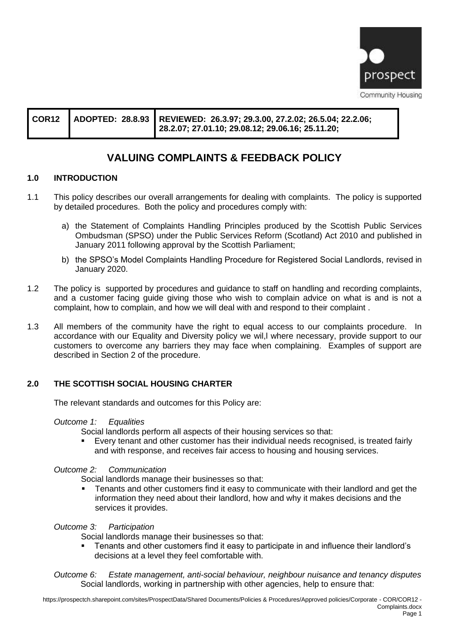

|  |  | COR12 ADOPTED: 28.8.93 REVIEWED: 26.3.97; 29.3.00, 27.2.02; 26.5.04; 22.2.06;<br>$\vert$ 28.2.07; 27.01.10; 29.08.12; 29.06.16; 25.11.20; |
|--|--|-------------------------------------------------------------------------------------------------------------------------------------------|
|--|--|-------------------------------------------------------------------------------------------------------------------------------------------|

# **VALUING COMPLAINTS & FEEDBACK POLICY**

# **1.0 INTRODUCTION**

- 1.1 This policy describes our overall arrangements for dealing with complaints. The policy is supported by detailed procedures. Both the policy and procedures comply with:
	- a) the Statement of Complaints Handling Principles produced by the Scottish Public Services Ombudsman (SPSO) under the Public Services Reform (Scotland) Act 2010 and published in January 2011 following approval by the Scottish Parliament;
	- b) the SPSO's Model Complaints Handling Procedure for Registered Social Landlords, revised in January 2020.
- 1.2 The policy is supported by procedures and guidance to staff on handling and recording complaints, and a customer facing guide giving those who wish to complain advice on what is and is not a complaint, how to complain, and how we will deal with and respond to their complaint .
- 1.3 All members of the community have the right to equal access to our complaints procedure. In accordance with our Equality and Diversity policy we wil,l where necessary, provide support to our customers to overcome any barriers they may face when complaining. Examples of support are described in Section 2 of the procedure.

# **2.0 THE SCOTTISH SOCIAL HOUSING CHARTER**

The relevant standards and outcomes for this Policy are:

*Outcome 1: Equalities*

Social landlords perform all aspects of their housing services so that:

■ Every tenant and other customer has their individual needs recognised, is treated fairly and with response, and receives fair access to housing and housing services.

#### *Outcome 2: Communication*

Social landlords manage their businesses so that:

Tenants and other customers find it easy to communicate with their landlord and get the information they need about their landlord, how and why it makes decisions and the services it provides.

*Outcome 3: Participation*

Social landlords manage their businesses so that:

■ Tenants and other customers find it easy to participate in and influence their landlord's decisions at a level they feel comfortable with.

*Outcome 6: Estate management, anti-social behaviour, neighbour nuisance and tenancy disputes* Social landlords, working in partnership with other agencies, help to ensure that: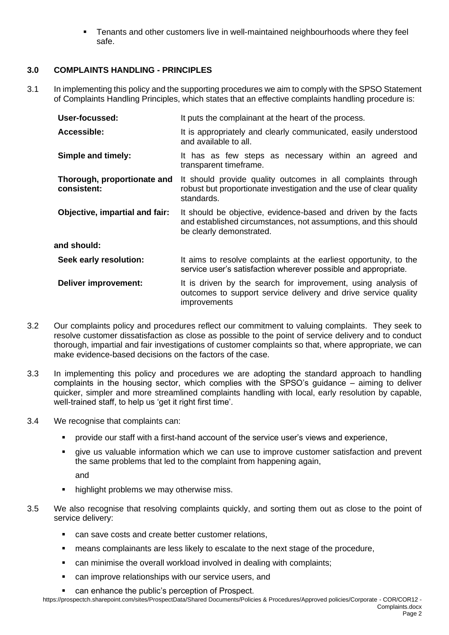Tenants and other customers live in well-maintained neighbourhoods where they feel safe.

# **3.0 COMPLAINTS HANDLING - PRINCIPLES**

3.1 In implementing this policy and the supporting procedures we aim to comply with the SPSO Statement of Complaints Handling Principles, which states that an effective complaints handling procedure is:

| User-focussed:                             | It puts the complainant at the heart of the process.                                                                                                          |  |  |
|--------------------------------------------|---------------------------------------------------------------------------------------------------------------------------------------------------------------|--|--|
| Accessible:                                | It is appropriately and clearly communicated, easily understood<br>and available to all.                                                                      |  |  |
| Simple and timely:                         | It has as few steps as necessary within an agreed and<br>transparent timeframe.                                                                               |  |  |
| Thorough, proportionate and<br>consistent: | It should provide quality outcomes in all complaints through<br>robust but proportionate investigation and the use of clear quality<br>standards.             |  |  |
| Objective, impartial and fair:             | It should be objective, evidence-based and driven by the facts<br>and established circumstances, not assumptions, and this should<br>be clearly demonstrated. |  |  |
| and should:                                |                                                                                                                                                               |  |  |
| Seek early resolution:                     | It aims to resolve complaints at the earliest opportunity, to the<br>service user's satisfaction wherever possible and appropriate.                           |  |  |
| <b>Deliver improvement:</b>                | It is driven by the search for improvement, using analysis of<br>outcomes to support service delivery and drive service quality<br>improvements               |  |  |

- 3.2 Our complaints policy and procedures reflect our commitment to valuing complaints. They seek to resolve customer dissatisfaction as close as possible to the point of service delivery and to conduct thorough, impartial and fair investigations of customer complaints so that, where appropriate, we can make evidence-based decisions on the factors of the case.
- 3.3 In implementing this policy and procedures we are adopting the standard approach to handling complaints in the housing sector, which complies with the SPSO's guidance – aiming to deliver quicker, simpler and more streamlined complaints handling with local, early resolution by capable, well-trained staff, to help us 'get it right first time'.
- 3.4 We recognise that complaints can:
	- provide our staff with a first-hand account of the service user's views and experience,
	- **EXT** give us valuable information which we can use to improve customer satisfaction and prevent the same problems that led to the complaint from happening again,

and

- highlight problems we may otherwise miss.
- 3.5 We also recognise that resolving complaints quickly, and sorting them out as close to the point of service delivery:
	- can save costs and create better customer relations,
	- means complainants are less likely to escalate to the next stage of the procedure,
	- can minimise the overall workload involved in dealing with complaints;
	- can improve relationships with our service users, and
	- can enhance the public's perception of Prospect.

https://prospectch.sharepoint.com/sites/ProspectData/Shared Documents/Policies & Procedures/Approved policies/Corporate - COR/COR12 - Complaints.docx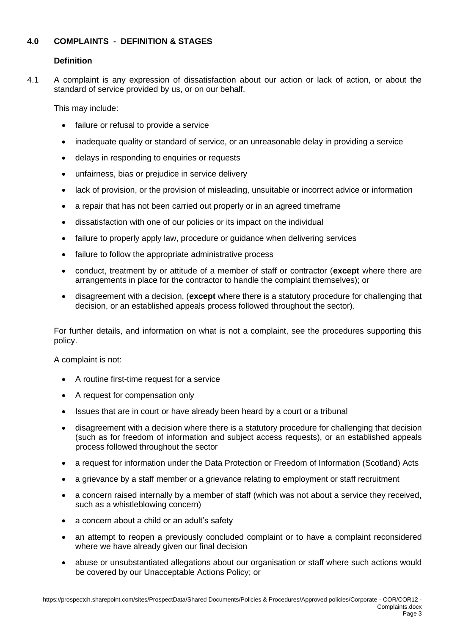# **4.0 COMPLAINTS - DEFINITION & STAGES**

# **Definition**

4.1 A complaint is any expression of dissatisfaction about our action or lack of action, or about the standard of service provided by us, or on our behalf.

This may include:

- failure or refusal to provide a service
- inadequate quality or standard of service, or an unreasonable delay in providing a service
- delays in responding to enquiries or requests
- unfairness, bias or prejudice in service delivery
- lack of provision, or the provision of misleading, unsuitable or incorrect advice or information
- a repair that has not been carried out properly or in an agreed timeframe
- dissatisfaction with one of our policies or its impact on the individual
- failure to properly apply law, procedure or guidance when delivering services
- failure to follow the appropriate administrative process
- conduct, treatment by or attitude of a member of staff or contractor (**except** where there are arrangements in place for the contractor to handle the complaint themselves); or
- disagreement with a decision, (**except** where there is a statutory procedure for challenging that decision, or an established appeals process followed throughout the sector).

For further details, and information on what is not a complaint, see the procedures supporting this policy.

A complaint is not:

- A routine first-time request for a service
- A request for compensation only
- Issues that are in court or have already been heard by a court or a tribunal
- disagreement with a decision where there is a statutory procedure for challenging that decision (such as for freedom of information and subject access requests), or an established appeals process followed throughout the sector
- a request for information under the Data Protection or Freedom of Information (Scotland) Acts
- a grievance by a staff member or a grievance relating to employment or staff recruitment
- a concern raised internally by a member of staff (which was not about a service they received, such as a whistleblowing concern)
- a concern about a child or an adult's safety
- an attempt to reopen a previously concluded complaint or to have a complaint reconsidered where we have already given our final decision
- abuse or unsubstantiated allegations about our organisation or staff where such actions would be covered by our Unacceptable Actions Policy; or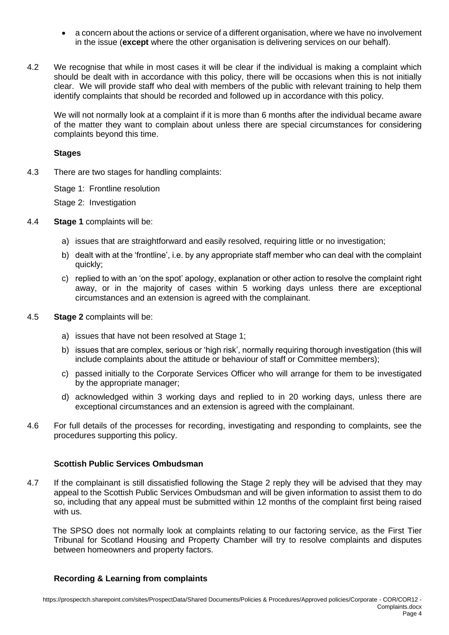- a concern about the actions or service of a different organisation, where we have no involvement in the issue (**except** where the other organisation is delivering services on our behalf).
- 4.2 We recognise that while in most cases it will be clear if the individual is making a complaint which should be dealt with in accordance with this policy, there will be occasions when this is not initially clear. We will provide staff who deal with members of the public with relevant training to help them identify complaints that should be recorded and followed up in accordance with this policy.

We will not normally look at a complaint if it is more than 6 months after the individual became aware of the matter they want to complain about unless there are special circumstances for considering complaints beyond this time.

# **Stages**

4.3 There are two stages for handling complaints:

Stage 1: Frontline resolution

Stage 2: Investigation

- 4.4 **Stage 1** complaints will be:
	- a) issues that are straightforward and easily resolved, requiring little or no investigation;
	- b) dealt with at the 'frontline', i.e. by any appropriate staff member who can deal with the complaint quickly;
	- c) replied to with an 'on the spot' apology, explanation or other action to resolve the complaint right away, or in the majority of cases within 5 working days unless there are exceptional circumstances and an extension is agreed with the complainant.
- 4.5 **Stage 2** complaints will be:
	- a) issues that have not been resolved at Stage 1;
	- b) issues that are complex, serious or 'high risk', normally requiring thorough investigation (this will include complaints about the attitude or behaviour of staff or Committee members);
	- c) passed initially to the Corporate Services Officer who will arrange for them to be investigated by the appropriate manager;
	- d) acknowledged within 3 working days and replied to in 20 working days, unless there are exceptional circumstances and an extension is agreed with the complainant.
- 4.6 For full details of the processes for recording, investigating and responding to complaints, see the procedures supporting this policy.

# **Scottish Public Services Ombudsman**

4.7 If the complainant is still dissatisfied following the Stage 2 reply they will be advised that they may appeal to the Scottish Public Services Ombudsman and will be given information to assist them to do so, including that any appeal must be submitted within 12 months of the complaint first being raised with us.

 The SPSO does not normally look at complaints relating to our factoring service, as the First Tier Tribunal for Scotland Housing and Property Chamber will try to resolve complaints and disputes between homeowners and property factors.

# **Recording & Learning from complaints**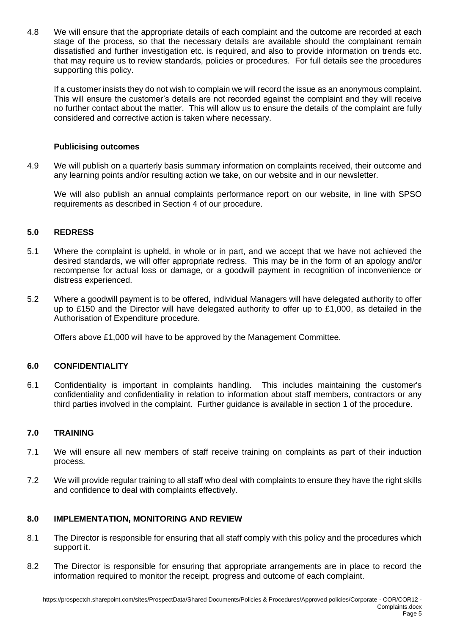4.8 We will ensure that the appropriate details of each complaint and the outcome are recorded at each stage of the process, so that the necessary details are available should the complainant remain dissatisfied and further investigation etc. is required, and also to provide information on trends etc. that may require us to review standards, policies or procedures. For full details see the procedures supporting this policy.

If a customer insists they do not wish to complain we will record the issue as an anonymous complaint. This will ensure the customer's details are not recorded against the complaint and they will receive no further contact about the matter. This will allow us to ensure the details of the complaint are fully considered and corrective action is taken where necessary.

# **Publicising outcomes**

4.9 We will publish on a quarterly basis summary information on complaints received, their outcome and any learning points and/or resulting action we take, on our website and in our newsletter.

We will also publish an annual complaints performance report on our website, in line with SPSO requirements as described in Section 4 of our procedure.

# **5.0 REDRESS**

- 5.1 Where the complaint is upheld, in whole or in part, and we accept that we have not achieved the desired standards, we will offer appropriate redress. This may be in the form of an apology and/or recompense for actual loss or damage, or a goodwill payment in recognition of inconvenience or distress experienced.
- 5.2 Where a goodwill payment is to be offered, individual Managers will have delegated authority to offer up to £150 and the Director will have delegated authority to offer up to £1,000, as detailed in the Authorisation of Expenditure procedure.

Offers above £1,000 will have to be approved by the Management Committee.

# **6.0 CONFIDENTIALITY**

6.1 Confidentiality is important in complaints handling. This includes maintaining the customer's confidentiality and confidentiality in relation to information about staff members, contractors or any third parties involved in the complaint. Further guidance is available in section 1 of the procedure.

# **7.0 TRAINING**

- 7.1 We will ensure all new members of staff receive training on complaints as part of their induction process.
- 7.2 We will provide regular training to all staff who deal with complaints to ensure they have the right skills and confidence to deal with complaints effectively.

# **8.0 IMPLEMENTATION, MONITORING AND REVIEW**

- 8.1 The Director is responsible for ensuring that all staff comply with this policy and the procedures which support it.
- 8.2 The Director is responsible for ensuring that appropriate arrangements are in place to record the information required to monitor the receipt, progress and outcome of each complaint.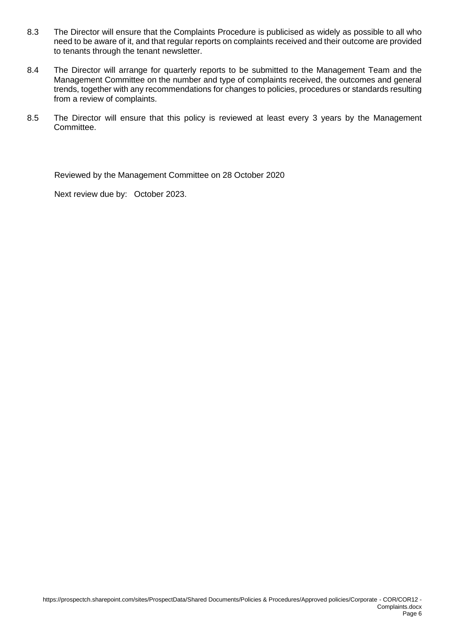- 8.3 The Director will ensure that the Complaints Procedure is publicised as widely as possible to all who need to be aware of it, and that regular reports on complaints received and their outcome are provided to tenants through the tenant newsletter.
- 8.4 The Director will arrange for quarterly reports to be submitted to the Management Team and the Management Committee on the number and type of complaints received, the outcomes and general trends, together with any recommendations for changes to policies, procedures or standards resulting from a review of complaints.
- 8.5 The Director will ensure that this policy is reviewed at least every 3 years by the Management Committee.

Reviewed by the Management Committee on 28 October 2020

Next review due by: October 2023.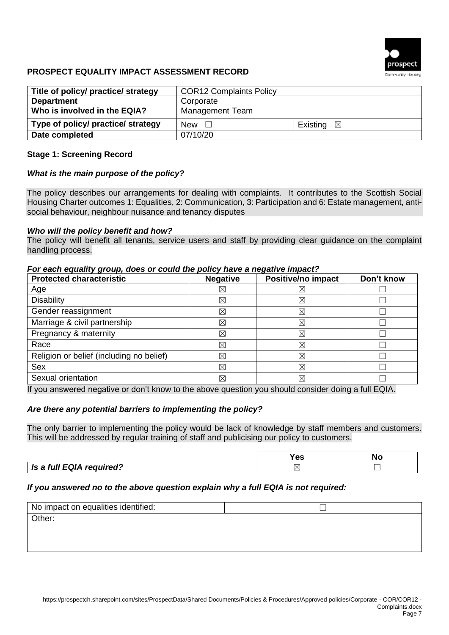

# **PROSPECT EQUALITY IMPACT ASSESSMENT RECORD**

| Title of policy/ practice/ strategy | <b>COR12 Complaints Policy</b> |                      |  |
|-------------------------------------|--------------------------------|----------------------|--|
| <b>Department</b>                   | Corporate                      |                      |  |
| Who is involved in the EQIA?        | Management Team                |                      |  |
| Type of policy/ practice/ strategy  | New<br>$\mathbf{1}$            | Existing $\boxtimes$ |  |
| Date completed                      | 07/10/20                       |                      |  |

### **Stage 1: Screening Record**

### *What is the main purpose of the policy?*

The policy describes our arrangements for dealing with complaints. It contributes to the Scottish Social Housing Charter outcomes 1: Equalities, 2: Communication, 3: Participation and 6: Estate management, antisocial behaviour, neighbour nuisance and tenancy disputes

#### *Who will the policy benefit and how?*

The policy will benefit all tenants, service users and staff by providing clear guidance on the complaint handling process.

#### *For each equality group, does or could the policy have a negative impact?*

| <b>Protected characteristic</b>          | <b>Negative</b> | Positive/no impact | Don't know |
|------------------------------------------|-----------------|--------------------|------------|
| Age                                      | ⊠               | $\boxtimes$        |            |
| <b>Disability</b>                        | ⊠               | $\boxtimes$        |            |
| Gender reassignment                      | ⊠               | $\boxtimes$        |            |
| Marriage & civil partnership             | ⊠               | $\boxtimes$        |            |
| Pregnancy & maternity                    | ⊠               | $\boxtimes$        |            |
| Race                                     | ⊠               | $\boxtimes$        |            |
| Religion or belief (including no belief) | ⊠               | $\boxtimes$        |            |
| Sex                                      | ⊠               | $\boxtimes$        |            |
| Sexual orientation                       | ⊠               | $\boxtimes$        |            |

If you answered negative or don't know to the above question you should consider doing a full EQIA.

### *Are there any potential barriers to implementing the policy?*

The only barrier to implementing the policy would be lack of knowledge by staff members and customers. This will be addressed by regular training of staff and publicising our policy to customers.

|                          | `nc<br>53 | N. |
|--------------------------|-----------|----|
| Is a full EQIA required? | ⌒         |    |

### *If you answered no to the above question explain why a full EQIA is not required:*

| No impact on equalities identified: |  |
|-------------------------------------|--|
| Other:                              |  |
|                                     |  |
|                                     |  |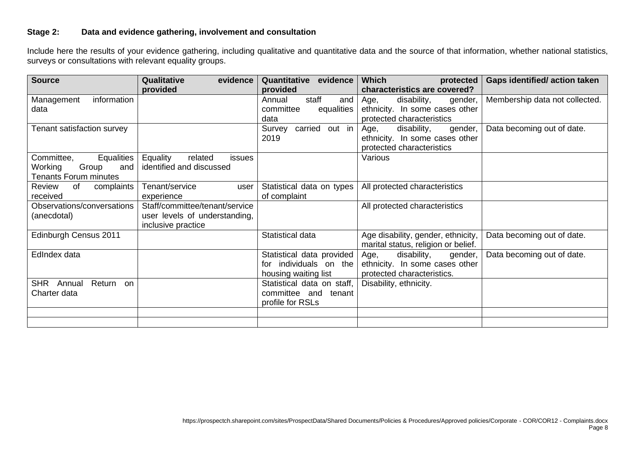# **Stage 2: Data and evidence gathering, involvement and consultation**

Include here the results of your evidence gathering, including qualitative and quantitative data and the source of that information, whether national statistics, surveys or consultations with relevant equality groups.

| <b>Source</b>                | Qualitative<br>evidence                     | evidence<br>Quantitative    | <b>Which</b><br>protected           | <b>Gaps identified/action taken</b> |
|------------------------------|---------------------------------------------|-----------------------------|-------------------------------------|-------------------------------------|
|                              | provided                                    | provided                    | characteristics are covered?        |                                     |
| information<br>Management    |                                             | staff<br>and<br>Annual      | Age,<br>disability,<br>gender,      | Membership data not collected.      |
| data                         |                                             | committee<br>equalities     | ethnicity. In some cases other      |                                     |
|                              |                                             | data                        | protected characteristics           |                                     |
| Tenant satisfaction survey   |                                             | out in<br>carried<br>Survey | disability,<br>Age,<br>gender,      | Data becoming out of date.          |
|                              |                                             | 2019                        | ethnicity. In some cases other      |                                     |
|                              |                                             |                             | protected characteristics           |                                     |
| Equalities<br>Committee,     | <b>Equality</b><br>related<br><i>issues</i> |                             | Various                             |                                     |
| Group<br>Working<br>and      | identified and discussed                    |                             |                                     |                                     |
| <b>Tenants Forum minutes</b> |                                             |                             |                                     |                                     |
| Review<br>complaints<br>of   | Tenant/service<br>user                      | Statistical data on types   | All protected characteristics       |                                     |
| received                     | experience                                  | of complaint                |                                     |                                     |
| Observations/conversations   | Staff/committee/tenant/service              |                             | All protected characteristics       |                                     |
| (anecdotal)                  | user levels of understanding,               |                             |                                     |                                     |
|                              | inclusive practice                          |                             |                                     |                                     |
| Edinburgh Census 2011        |                                             | Statistical data            | Age disability, gender, ethnicity,  | Data becoming out of date.          |
|                              |                                             |                             | marital status, religion or belief. |                                     |
| EdIndex data                 |                                             | Statistical data provided   | Age,<br>disability,<br>gender,      | Data becoming out of date.          |
|                              |                                             | individuals on the<br>tor   | ethnicity. In some cases other      |                                     |
|                              |                                             | housing waiting list        | protected characteristics.          |                                     |
| SHR Annual<br>Return<br>on   |                                             | Statistical data on staff,  | Disability, ethnicity.              |                                     |
| Charter data                 |                                             | committee and tenant        |                                     |                                     |
|                              |                                             | profile for RSLs            |                                     |                                     |
|                              |                                             |                             |                                     |                                     |
|                              |                                             |                             |                                     |                                     |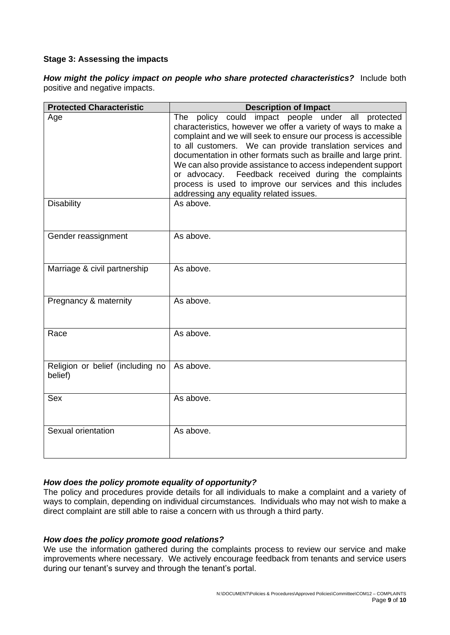### **Stage 3: Assessing the impacts**

*How might the policy impact on people who share protected characteristics?*Include both positive and negative impacts.

| <b>Protected Characteristic</b>             | <b>Description of Impact</b>                                                                                                                                                                                                                                                                                                                                                                                                                                                                                                                             |
|---------------------------------------------|----------------------------------------------------------------------------------------------------------------------------------------------------------------------------------------------------------------------------------------------------------------------------------------------------------------------------------------------------------------------------------------------------------------------------------------------------------------------------------------------------------------------------------------------------------|
| Age                                         | The policy could impact people under all protected<br>characteristics, however we offer a variety of ways to make a<br>complaint and we will seek to ensure our process is accessible<br>to all customers. We can provide translation services and<br>documentation in other formats such as braille and large print.<br>We can also provide assistance to access independent support<br>Feedback received during the complaints<br>or advocacy.<br>process is used to improve our services and this includes<br>addressing any equality related issues. |
| <b>Disability</b>                           | As above.                                                                                                                                                                                                                                                                                                                                                                                                                                                                                                                                                |
| Gender reassignment                         | As above.                                                                                                                                                                                                                                                                                                                                                                                                                                                                                                                                                |
| Marriage & civil partnership                | As above.                                                                                                                                                                                                                                                                                                                                                                                                                                                                                                                                                |
| Pregnancy & maternity                       | As above.                                                                                                                                                                                                                                                                                                                                                                                                                                                                                                                                                |
| Race                                        | As above.                                                                                                                                                                                                                                                                                                                                                                                                                                                                                                                                                |
| Religion or belief (including no<br>belief) | As above.                                                                                                                                                                                                                                                                                                                                                                                                                                                                                                                                                |
| <b>Sex</b>                                  | As above.                                                                                                                                                                                                                                                                                                                                                                                                                                                                                                                                                |
| Sexual orientation                          | As above.                                                                                                                                                                                                                                                                                                                                                                                                                                                                                                                                                |

### *How does the policy promote equality of opportunity?*

The policy and procedures provide details for all individuals to make a complaint and a variety of ways to complain, depending on individual circumstances. Individuals who may not wish to make a direct complaint are still able to raise a concern with us through a third party.

#### *How does the policy promote good relations?*

We use the information gathered during the complaints process to review our service and make improvements where necessary. We actively encourage feedback from tenants and service users during our tenant's survey and through the tenant's portal.